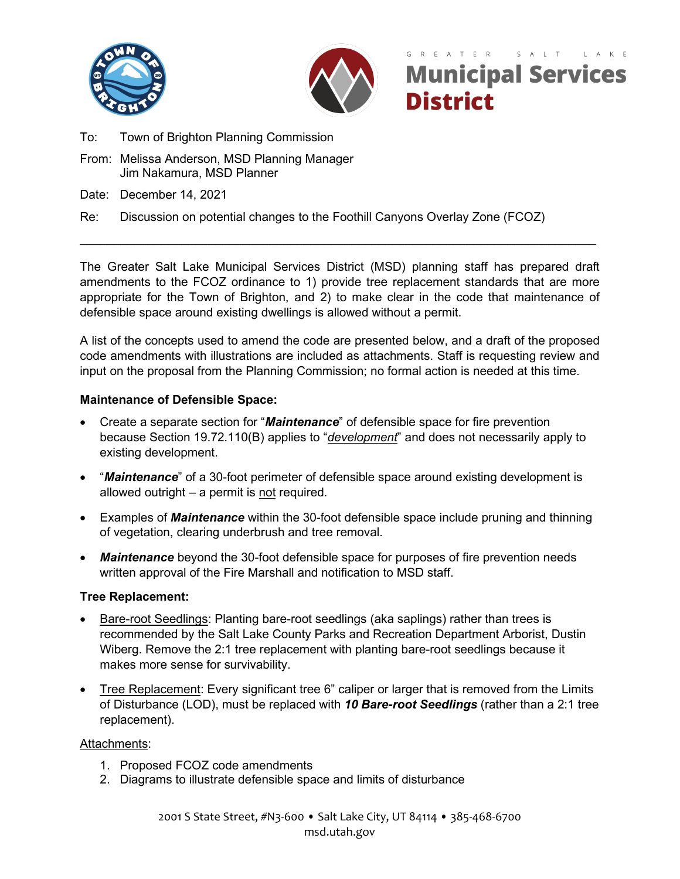



# R E A T E R S A L T **Municipal Services District**

- To: Town of Brighton Planning Commission
- From: Melissa Anderson, MSD Planning Manager Jim Nakamura, MSD Planner
- Date: December 14, 2021

## Re: Discussion on potential changes to the Foothill Canyons Overlay Zone (FCOZ)

The Greater Salt Lake Municipal Services District (MSD) planning staff has prepared draft amendments to the FCOZ ordinance to 1) provide tree replacement standards that are more appropriate for the Town of Brighton, and 2) to make clear in the code that maintenance of defensible space around existing dwellings is allowed without a permit.

\_\_\_\_\_\_\_\_\_\_\_\_\_\_\_\_\_\_\_\_\_\_\_\_\_\_\_\_\_\_\_\_\_\_\_\_\_\_\_\_\_\_\_\_\_\_\_\_\_\_\_\_\_\_\_\_\_\_\_\_\_\_\_\_\_\_\_\_\_\_\_\_\_\_\_\_

A list of the concepts used to amend the code are presented below, and a draft of the proposed code amendments with illustrations are included as attachments. Staff is requesting review and input on the proposal from the Planning Commission; no formal action is needed at this time.

### **Maintenance of Defensible Space:**

- Create a separate section for "*Maintenance*" of defensible space for fire prevention because Section 19.72.110(B) applies to "*development*" and does not necessarily apply to existing development.
- "*Maintenance*" of a 30-foot perimeter of defensible space around existing development is allowed outright  $-$  a permit is not required.
- Examples of *Maintenance* within the 30-foot defensible space include pruning and thinning of vegetation, clearing underbrush and tree removal.
- *Maintenance* beyond the 30-foot defensible space for purposes of fire prevention needs written approval of the Fire Marshall and notification to MSD staff.

### **Tree Replacement:**

- **Bare-root Seedlings: Planting bare-root seedlings (aka saplings) rather than trees is** recommended by the Salt Lake County Parks and Recreation Department Arborist, Dustin Wiberg. Remove the 2:1 tree replacement with planting bare-root seedlings because it makes more sense for survivability.
- Tree Replacement: Every significant tree 6" caliper or larger that is removed from the Limits of Disturbance (LOD), must be replaced with *10 Bare-root Seedlings* (rather than a 2:1 tree replacement).

### Attachments:

- 1. Proposed FCOZ code amendments
- 2. Diagrams to illustrate defensible space and limits of disturbance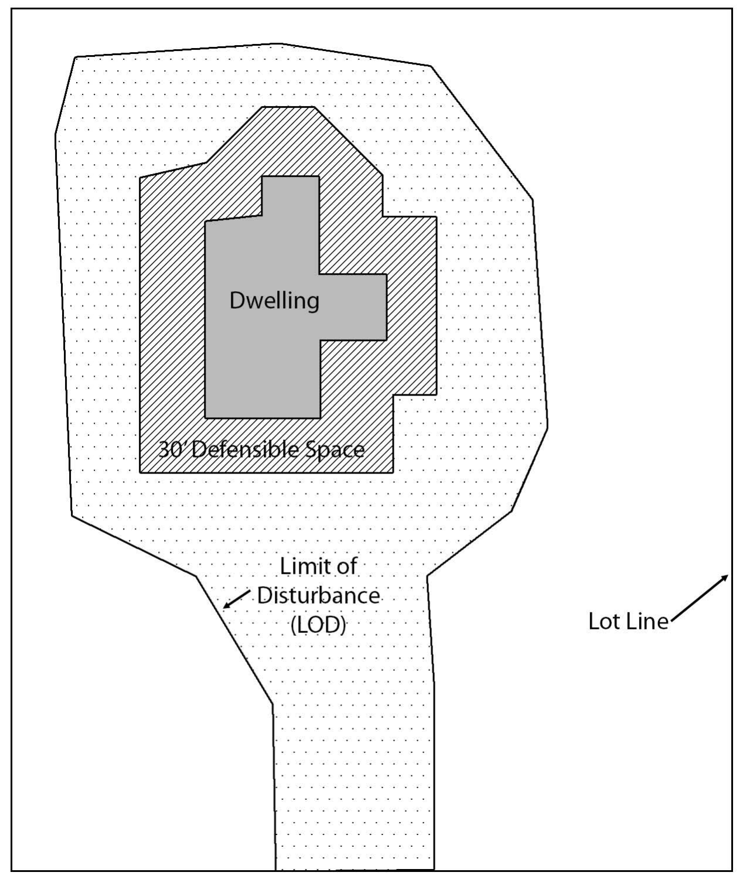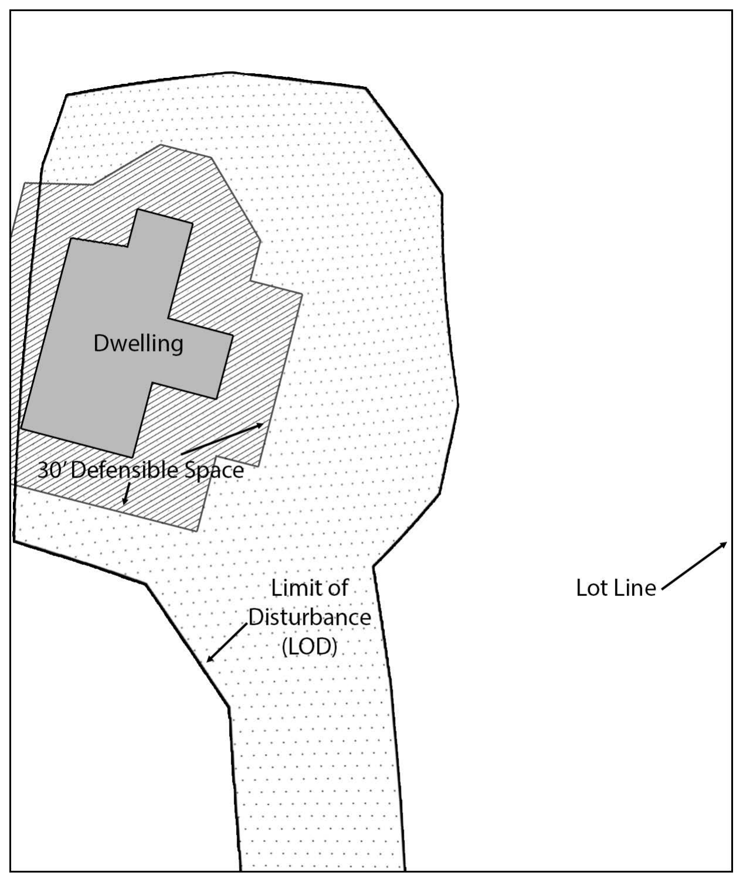**Dwelling** 30 Defensible Space



# Lot Line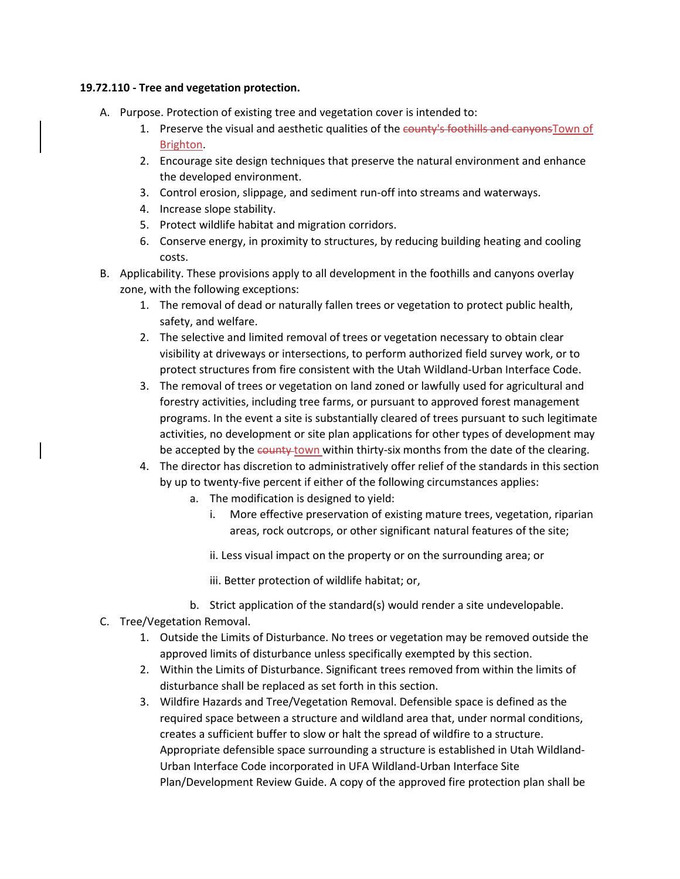#### **19.72.110 - Tree and vegetation protection.**

- A. Purpose. Protection of existing tree and vegetation cover is intended to:
	- 1. Preserve the visual and aesthetic qualities of the county's foothills and canyonsTown of Brighton.
	- 2. Encourage site design techniques that preserve the natural environment and enhance the developed environment.
	- 3. Control erosion, slippage, and sediment run-off into streams and waterways.
	- 4. Increase slope stability.
	- 5. Protect wildlife habitat and migration corridors.
	- 6. Conserve energy, in proximity to structures, by reducing building heating and cooling costs.
- B. Applicability. These provisions apply to all development in the foothills and canyons overlay zone, with the following exceptions:
	- 1. The removal of dead or naturally fallen trees or vegetation to protect public health, safety, and welfare.
	- 2. The selective and limited removal of trees or vegetation necessary to obtain clear visibility at driveways or intersections, to perform authorized field survey work, or to protect structures from fire consistent with the Utah Wildland-Urban Interface Code.
	- 3. The removal of trees or vegetation on land zoned or lawfully used for agricultural and forestry activities, including tree farms, or pursuant to approved forest management programs. In the event a site is substantially cleared of trees pursuant to such legitimate activities, no development or site plan applications for other types of development may be accepted by the county town within thirty-six months from the date of the clearing.
	- 4. The director has discretion to administratively offer relief of the standards in this section by up to twenty-five percent if either of the following circumstances applies:
		- a. The modification is designed to yield:
			- i. More effective preservation of existing mature trees, vegetation, riparian areas, rock outcrops, or other significant natural features of the site;
			- ii. Less visual impact on the property or on the surrounding area; or
			- iii. Better protection of wildlife habitat; or,
		- b. Strict application of the standard(s) would render a site undevelopable.
- C. Tree/Vegetation Removal.
	- 1. Outside the Limits of Disturbance. No trees or vegetation may be removed outside the approved limits of disturbance unless specifically exempted by this section.
	- 2. Within the Limits of Disturbance. Significant trees removed from within the limits of disturbance shall be replaced as set forth in this section.
	- 3. Wildfire Hazards and Tree/Vegetation Removal. Defensible space is defined as the required space between a structure and wildland area that, under normal conditions, creates a sufficient buffer to slow or halt the spread of wildfire to a structure. Appropriate defensible space surrounding a structure is established in Utah Wildland-Urban Interface Code incorporated in UFA Wildland-Urban Interface Site Plan/Development Review Guide. A copy of the approved fire protection plan shall be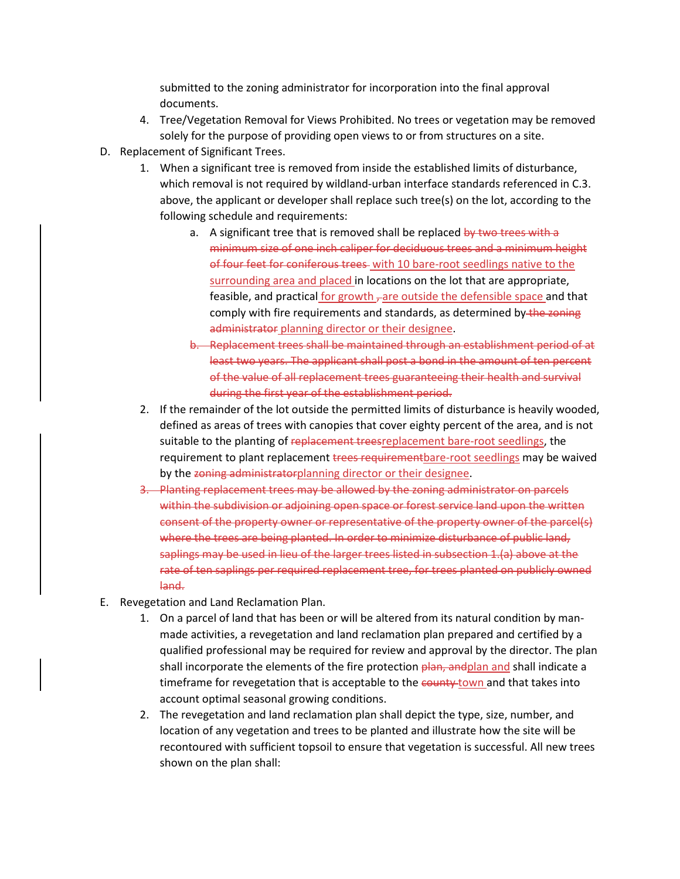submitted to the zoning administrator for incorporation into the final approval documents.

- 4. Tree/Vegetation Removal for Views Prohibited. No trees or vegetation may be removed solely for the purpose of providing open views to or from structures on a site.
- D. Replacement of Significant Trees.
	- 1. When a significant tree is removed from inside the established limits of disturbance, which removal is not required by wildland-urban interface standards referenced in C.3. above, the applicant or developer shall replace such tree(s) on the lot, according to the following schedule and requirements:
		- a. A significant tree that is removed shall be replaced by two trees with a minimum size of one inch caliper for deciduous trees and a minimum height of four feet for coniferous trees with 10 bare-root seedlings native to the surrounding area and placed in locations on the lot that are appropriate, feasible, and practical for growth  $\tau$  are outside the defensible space and that comply with fire requirements and standards, as determined by the zoning administrator planning director or their designee.
		- b. Replacement trees shall be maintained through an establishment period of at least two years. The applicant shall post a bond in the amount of ten percent of the value of all replacement trees guaranteeing their health and survival during the first year of the establishment period.
	- 2. If the remainder of the lot outside the permitted limits of disturbance is heavily wooded, defined as areas of trees with canopies that cover eighty percent of the area, and is not suitable to the planting of replacement treesreplacement bare-root seedlings, the requirement to plant replacement trees requirementbare-root seedlings may be waived by the zoning administratorplanning director or their designee.
	- 3. Planting replacement trees may be allowed by the zoning administrator on parcels within the subdivision or adjoining open space or forest service land upon the written consent of the property owner or representative of the property owner of the parcel(s) where the trees are being planted. In order to minimize disturbance of public land, saplings may be used in lieu of the larger trees listed in subsection 1.(a) above at the rate of ten saplings per required replacement tree, for trees planted on publicly owned land.
- E. Revegetation and Land Reclamation Plan.
	- 1. On a parcel of land that has been or will be altered from its natural condition by manmade activities, a revegetation and land reclamation plan prepared and certified by a qualified professional may be required for review and approval by the director. The plan shall incorporate the elements of the fire protection  $\theta$ lan, andplan and shall indicate a timeframe for revegetation that is acceptable to the county town and that takes into account optimal seasonal growing conditions.
	- 2. The revegetation and land reclamation plan shall depict the type, size, number, and location of any vegetation and trees to be planted and illustrate how the site will be recontoured with sufficient topsoil to ensure that vegetation is successful. All new trees shown on the plan shall: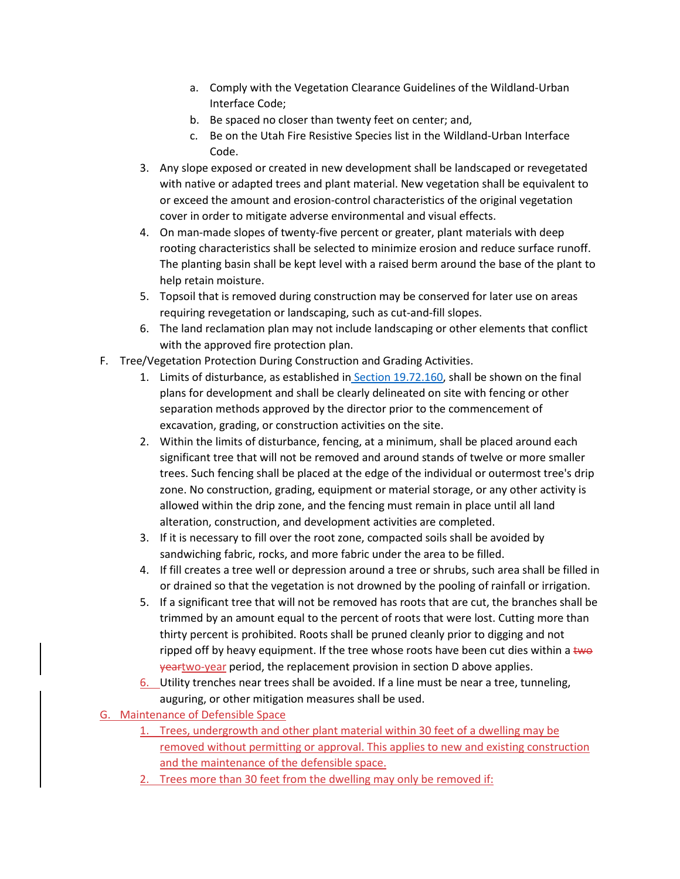- a. Comply with the Vegetation Clearance Guidelines of the Wildland-Urban Interface Code;
- b. Be spaced no closer than twenty feet on center; and,
- c. Be on the Utah Fire Resistive Species list in the Wildland-Urban Interface Code.
- 3. Any slope exposed or created in new development shall be landscaped or revegetated with native or adapted trees and plant material. New vegetation shall be equivalent to or exceed the amount and erosion-control characteristics of the original vegetation cover in order to mitigate adverse environmental and visual effects.
- 4. On man-made slopes of twenty-five percent or greater, plant materials with deep rooting characteristics shall be selected to minimize erosion and reduce surface runoff. The planting basin shall be kept level with a raised berm around the base of the plant to help retain moisture.
- 5. Topsoil that is removed during construction may be conserved for later use on areas requiring revegetation or landscaping, such as cut-and-fill slopes.
- 6. The land reclamation plan may not include landscaping or other elements that conflict with the approved fire protection plan.
- F. Tree/Vegetation Protection During Construction and Grading Activities.
	- 1. Limits of disturbance, as established in [Section 19.72.160,](https://library.municode.com/ut/salt_lake_county/codes/code_of_ordinances?nodeId=TIT19ZO_CH19.72FOCAOVZOFC_19.72.160LIDI) shall be shown on the final plans for development and shall be clearly delineated on site with fencing or other separation methods approved by the director prior to the commencement of excavation, grading, or construction activities on the site.
	- 2. Within the limits of disturbance, fencing, at a minimum, shall be placed around each significant tree that will not be removed and around stands of twelve or more smaller trees. Such fencing shall be placed at the edge of the individual or outermost tree's drip zone. No construction, grading, equipment or material storage, or any other activity is allowed within the drip zone, and the fencing must remain in place until all land alteration, construction, and development activities are completed.
	- 3. If it is necessary to fill over the root zone, compacted soils shall be avoided by sandwiching fabric, rocks, and more fabric under the area to be filled.
	- 4. If fill creates a tree well or depression around a tree or shrubs, such area shall be filled in or drained so that the vegetation is not drowned by the pooling of rainfall or irrigation.
	- 5. If a significant tree that will not be removed has roots that are cut, the branches shall be trimmed by an amount equal to the percent of roots that were lost. Cutting more than thirty percent is prohibited. Roots shall be pruned cleanly prior to digging and not ripped off by heavy equipment. If the tree whose roots have been cut dies within a  $t_{\text{WQ}}$ yeartwo-year period, the replacement provision in section D above applies.
	- 6. Utility trenches near trees shall be avoided. If a line must be near a tree, tunneling, auguring, or other mitigation measures shall be used.
- G. Maintenance of Defensible Space
	- 1. Trees, undergrowth and other plant material within 30 feet of a dwelling may be removed without permitting or approval. This applies to new and existing construction and the maintenance of the defensible space.
	- 2. Trees more than 30 feet from the dwelling may only be removed if: